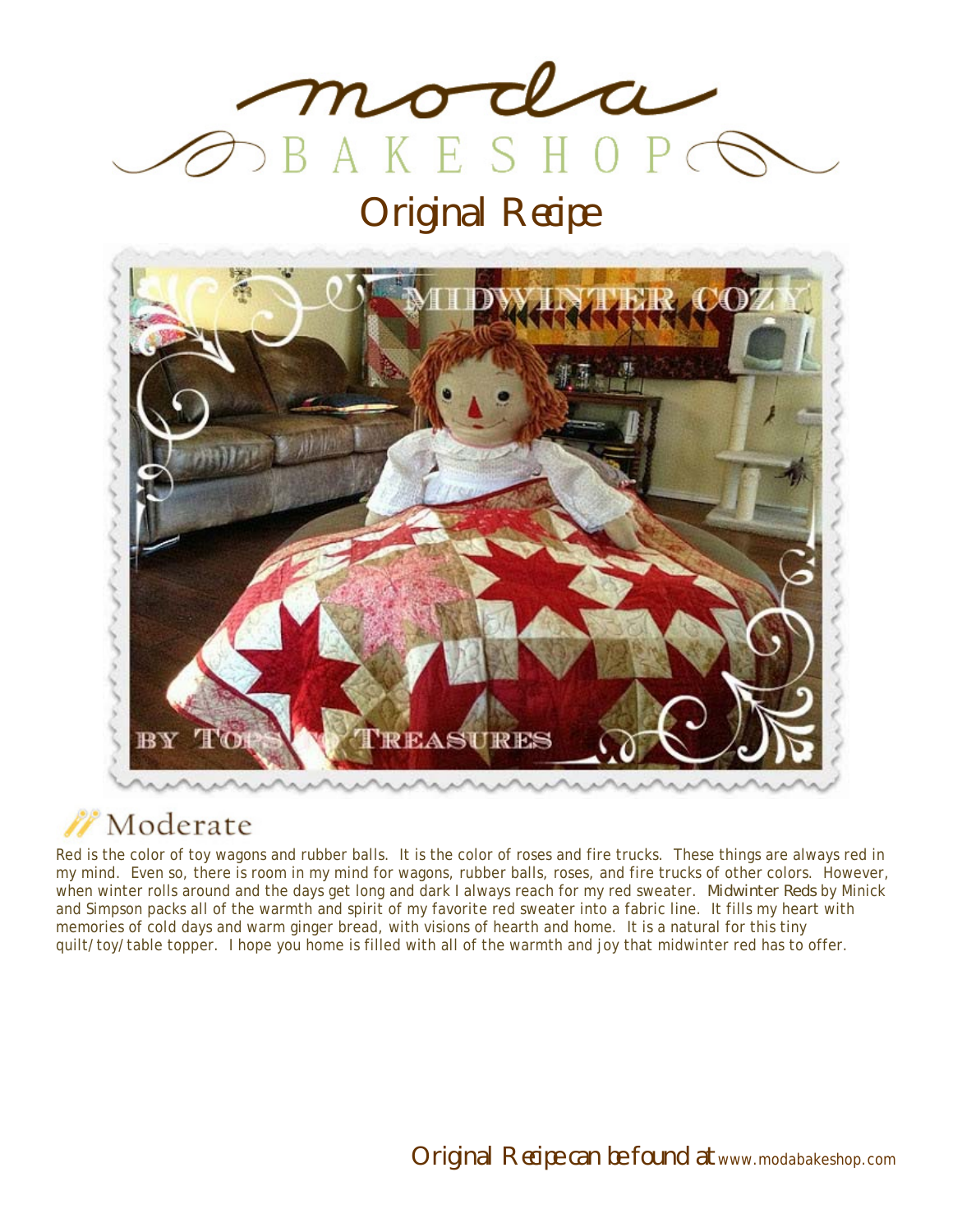

Original Recipe



## Moderate

Red is the color of toy wagons and rubber balls. It is the color of roses and fire trucks. These things are always red in my mind. Even so, there is room in my mind for wagons, rubber balls, roses, and fire trucks of other colors. However, when winter rolls around and the days get long and dark I always reach for my red sweater. *Midwinter Reds* by Minick and Simpson packs all of the warmth and spirit of my favorite red sweater into a fabric line. It fills my heart with memories of cold days and warm ginger bread, with visions of hearth and home. It is a natural for this tiny quilt/toy/table topper. I hope you home is filled with all of the warmth and joy that midwinter red has to offer.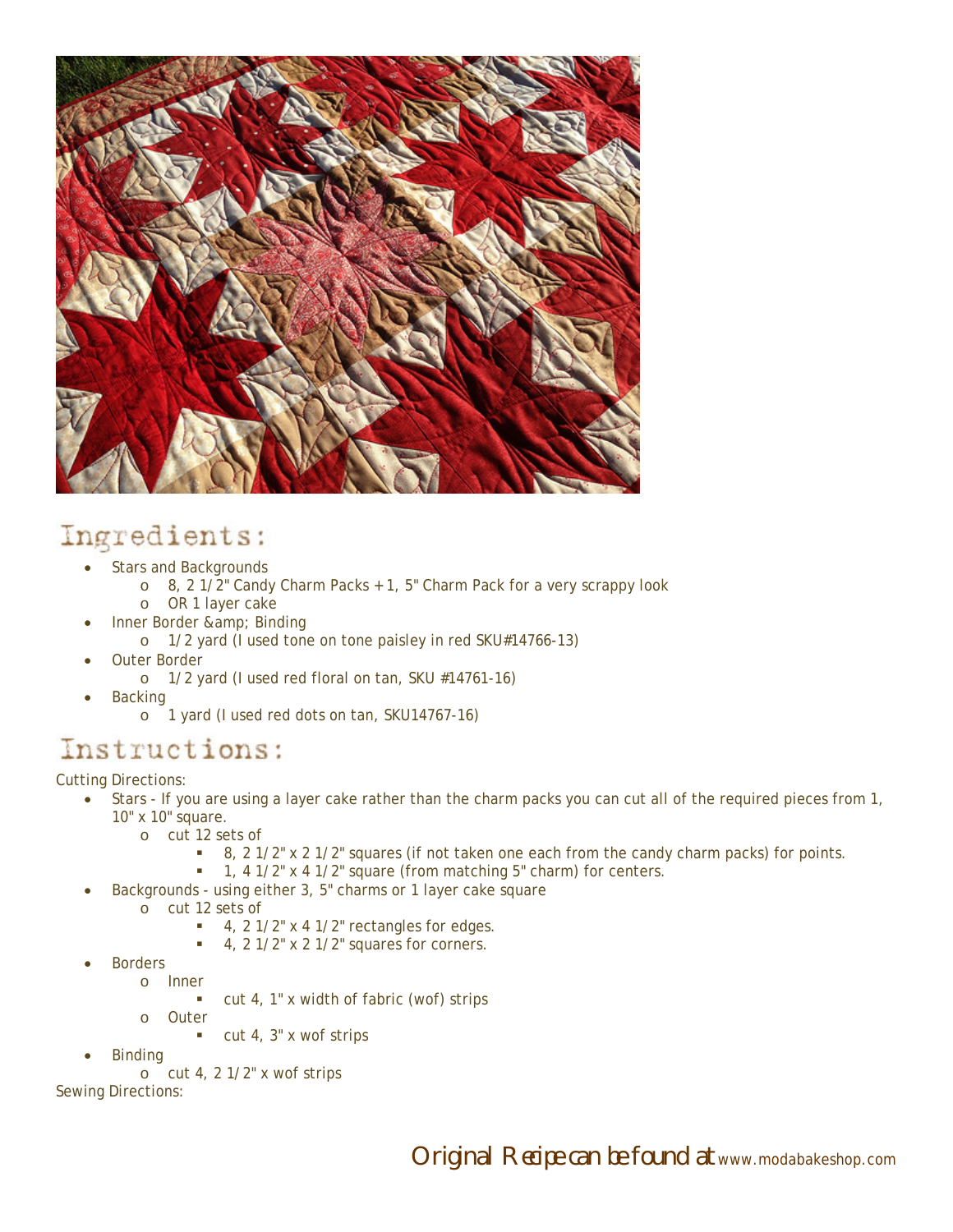

## Ingredients:

- Stars and Backgrounds
	- o 8, 2 1/2" Candy Charm Packs + 1, 5" Charm Pack for a very scrappy look
	- o OR 1 layer cake
- Inner Border & amp; Binding
	- o 1/2 yard (I used tone on tone paisley in red SKU#14766-13)
- Outer Border
	- o 1/2 yard (I used red floral on tan, SKU #14761-16)
- Backing
	- o 1 yard (I used red dots on tan, SKU14767-16)

## Instructions:

Cutting Directions:

- Stars If you are using a layer cake rather than the charm packs you can cut all of the required pieces from 1, 10" x 10" square.
	- o cut 12 sets of
		- 8, 2 1/2" x 2 1/2" squares (if not taken one each from the candy charm packs) for points.
	- 1, 4 1/2" x 4 1/2" square (from matching 5" charm) for centers.
	- Backgrounds using either 3, 5" charms or 1 layer cake square
		- o cut 12 sets of
			- $\blacksquare$  4, 2 1/2" x 4 1/2" rectangles for edges.
			- $\blacksquare$  4, 2 1/2" x 2 1/2" squares for corners.
- Borders
	- o Inner cut 4, 1" x width of fabric (wof) strips
	- o Outer
		- $\blacksquare$  cut 4, 3" x wof strips
- Binding

o cut 4, 2 1/2" x wof strips

Sewing Directions: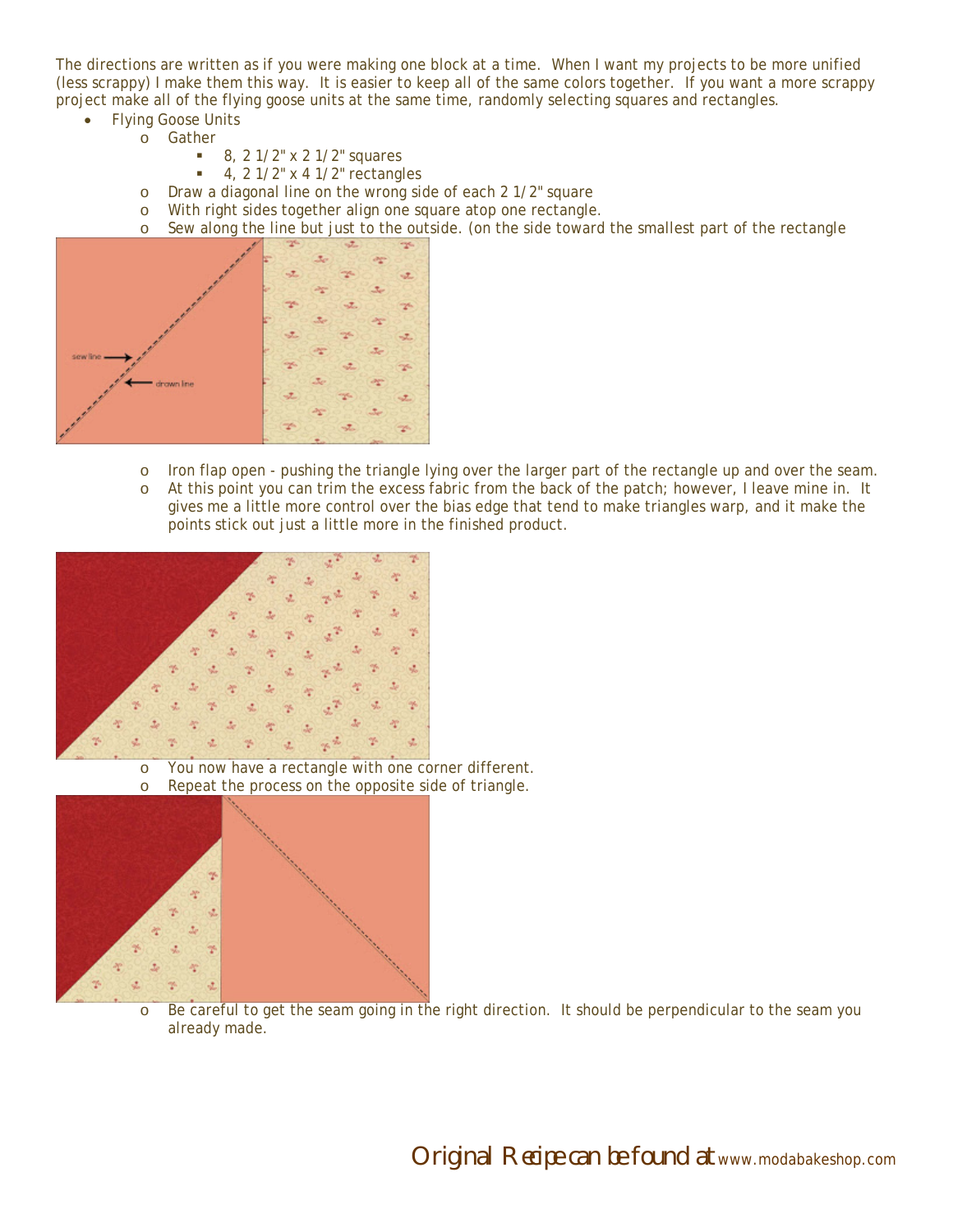The directions are written as if you were making one block at a time. When I want my projects to be more unified (less scrappy) I make them this way. It is easier to keep all of the same colors together. If you want a more scrappy project make all of the flying goose units at the same time, randomly selecting squares and rectangles.

- Flying Goose Units
	- o Gather
		- $8, 2 \frac{1}{2}$  x 2  $\frac{1}{2}$  squares
		- $\blacksquare$  4, 2 1/2" x 4 1/2" rectangles
		- o Draw a diagonal line on the wrong side of each 2 1/2" square
		- o With right sides together align one square atop one rectangle.
		- o Sew along the line but just to the outside. (on the side toward the smallest part of the rectangle



- o Iron flap open pushing the triangle lying over the larger part of the rectangle up and over the seam.
- o At this point you can trim the excess fabric from the back of the patch; however, I leave mine in. It gives me a little more control over the bias edge that tend to make triangles warp, and it make the points stick out just a little more in the finished product.



o You now have a rectangle with one corner different. o Repeat the process on the opposite side of triangle.



o Be careful to get the seam going in the right direction. It should be perpendicular to the seam you already made.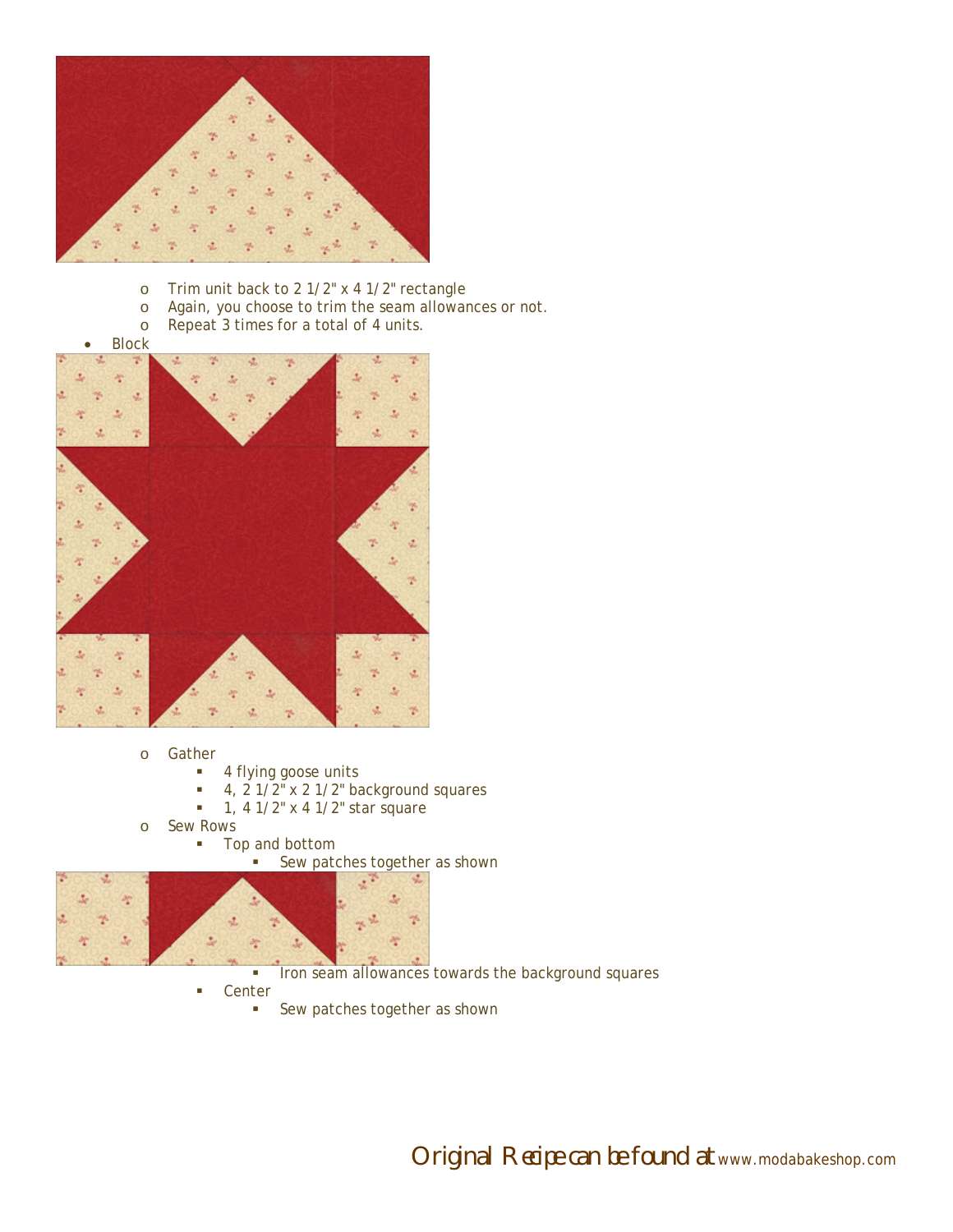

- o Trim unit back to 2 1/2" x 4 1/2" rectangle
- o Again, you choose to trim the seam allowances or not.
- o Repeat 3 times for a total of 4 units.

**Block** 



- o Gather
	- **4 flying goose units**
	- $\bullet$  4, 2 1/2" x 2 1/2" background squares
	- $-1$ , 4 1/2" x 4 1/2" star square
- o Sew Rows
	- **Top and bottom**

Sew patches together as shown



**IFON SEAM ALLOWARCES TOWARDS THE BACKGROUND SQUARES** 

- **Center** 
	- **Sew patches together as shown**

Original Recipe can be found at www.modabakeshop.com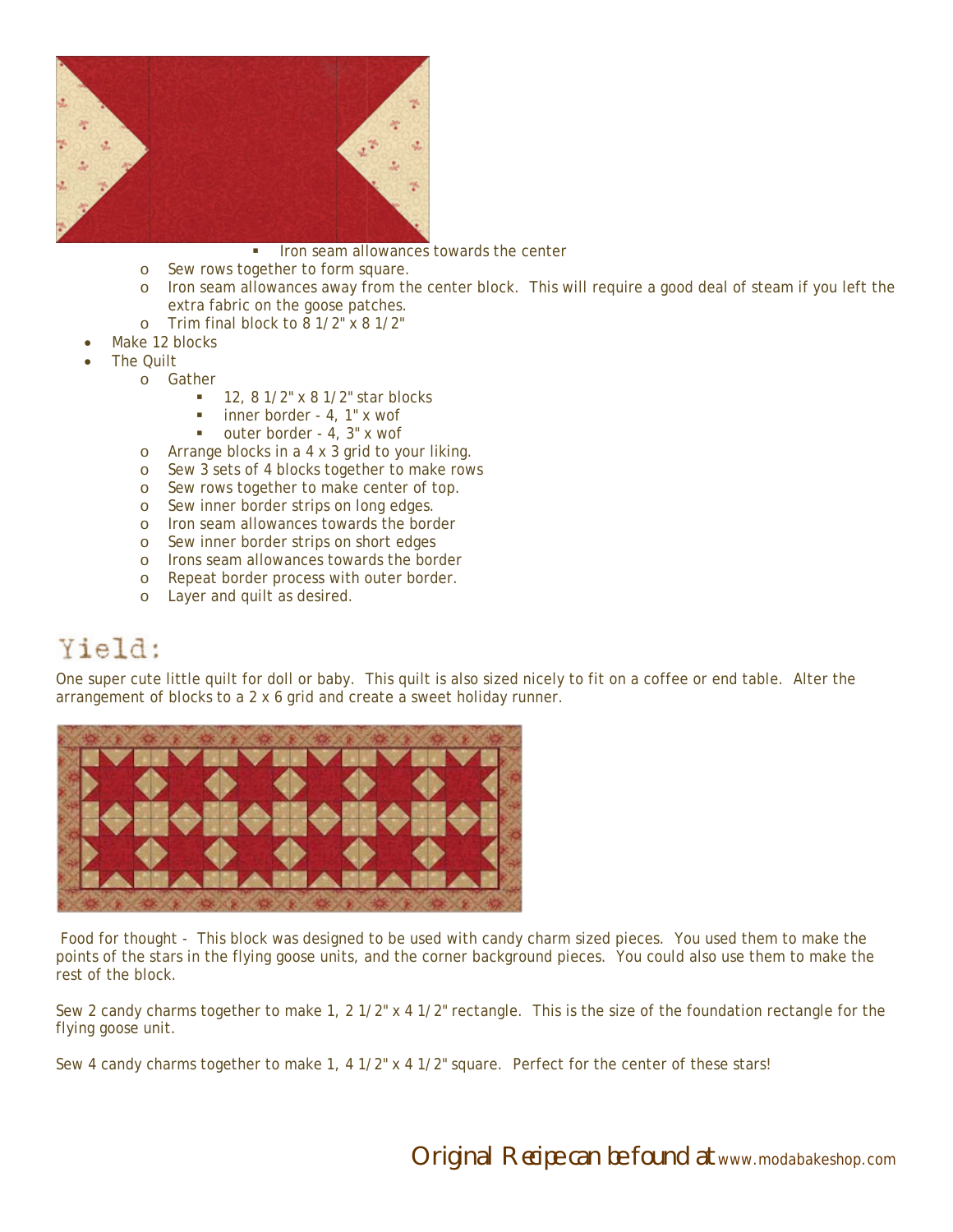

- Iron seam allowances towards the center
- o Sew rows together to form square.
- o Iron seam allowances away from the center block. This will require a good deal of steam if you left the extra fabric on the goose patches.
- o Trim final block to 8 1/2" x 8 1/2"
- Make 12 blocks
- The Quilt
	- o Gather
		- $12, 81/2$ " x 81/2" star blocks
		- inner border 4, 1" x wof
		- outer border 4, 3" x wof
		- o Arrange blocks in a 4 x 3 grid to your liking.
		- o Sew 3 sets of 4 blocks together to make rows
		- o Sew rows together to make center of top.
		- o Sew inner border strips on long edges.
		- o Iron seam allowances towards the border
		- o Sew inner border strips on short edges
		- o Irons seam allowances towards the border
		- o Repeat border process with outer border.
		- o Layer and quilt as desired.

## Yield:

One super cute little quilt for doll or baby. This quilt is also sized nicely to fit on a coffee or end table. Alter the arrangement of blocks to a 2 x 6 grid and create a sweet holiday runner.



 Food for thought - This block was designed to be used with candy charm sized pieces. You used them to make the points of the stars in the flying goose units, and the corner background pieces. You could also use them to make the rest of the block.

Sew 2 candy charms together to make 1, 2 1/2" x 4 1/2" rectangle. This is the size of the foundation rectangle for the flying goose unit.

Sew 4 candy charms together to make 1, 4 1/2" x 4 1/2" square. Perfect for the center of these stars!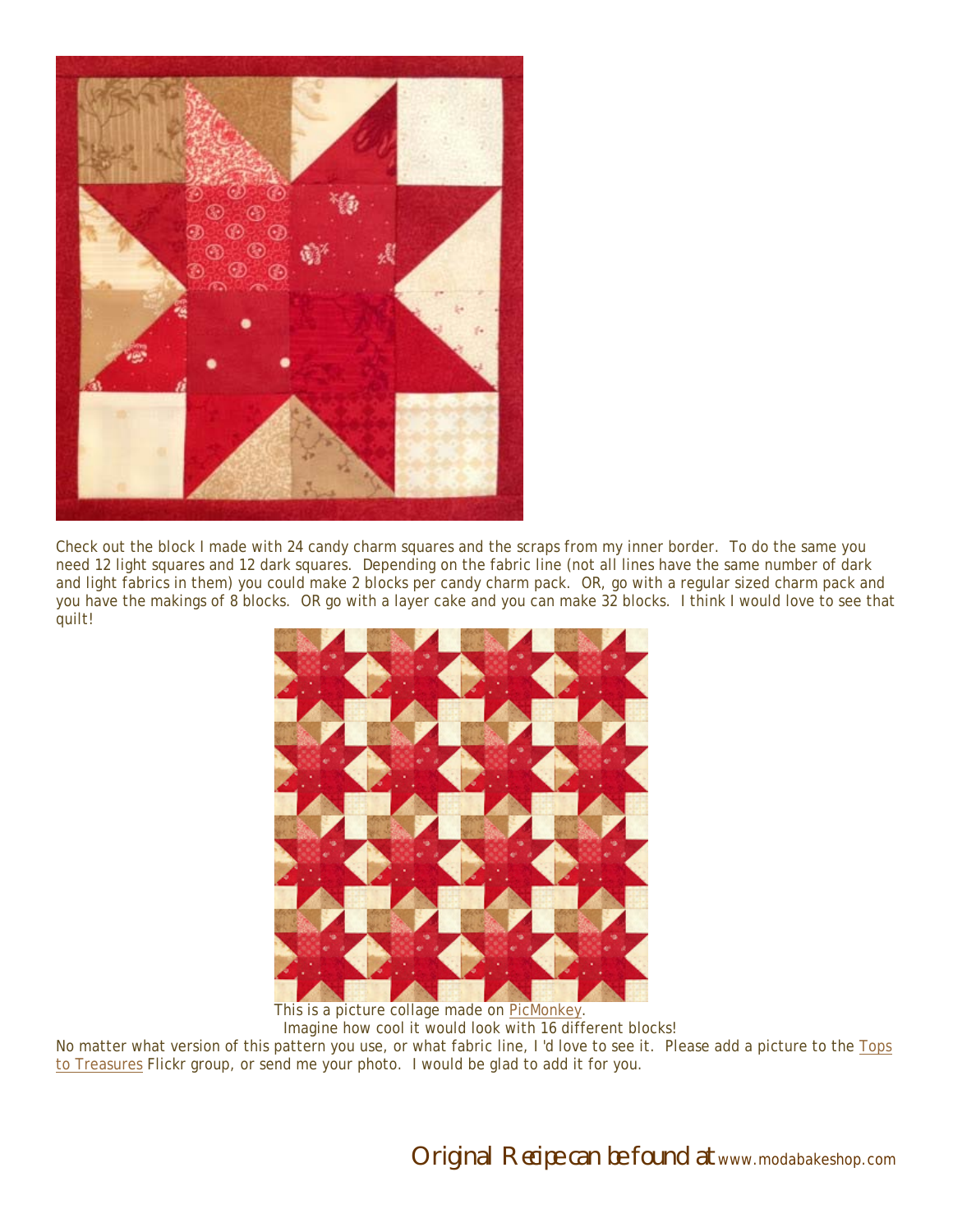

Check out the block I made with 24 candy charm squares and the scraps from my inner border. To do the same you need 12 light squares and 12 dark squares. Depending on the fabric line (not all lines have the same number of dark and light fabrics in them) you could make 2 blocks per candy charm pack. OR, go with a regular sized charm pack and you have the makings of 8 blocks. OR go with a layer cake and you can make 32 blocks. I think I would love to see that quilt!



This is a picture collage made on PicMonkey. Imagine how cool it would look with 16 different blocks!

No matter what version of this pattern you use, or what fabric line, I 'd love to see it. Please add a picture to the Tops to Treasures Flickr group, or send me your photo. I would be glad to add it for you.